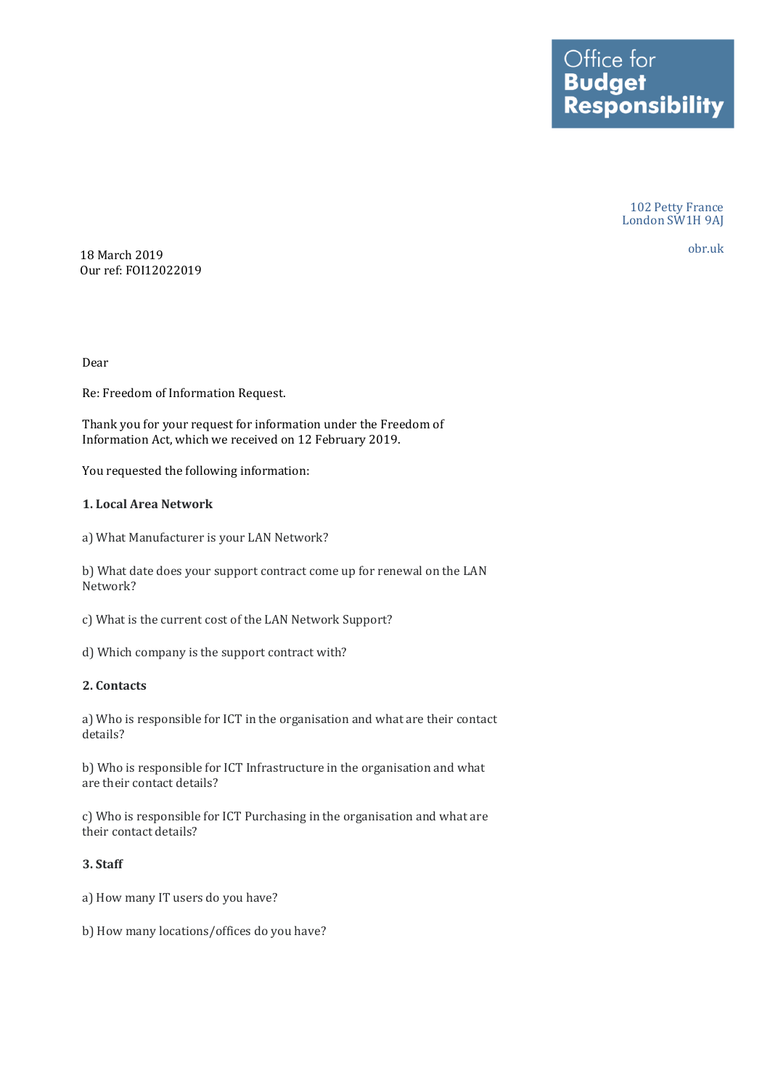102 Petty France London SW1H 9AJ

obr.uk

18 March 2019 Our ref: FOI12022019

Dear

Re: Freedom of Information Request.

Thank you for your request for information under the Freedom of Information Act, which we received on 12 February 2019.

You requested the following information:

#### **1. Local Area Network**

a) What Manufacturer is your LAN Network?

 b) What date does your support contract come up for renewal on the LAN Network?

- c) What is the current cost of the LAN Network Support?
- d) Which company is the support contract with?

### **2. Contacts**

 a) Who is responsible for ICT in the organisation and what are their contact details?

 b) Who is responsible for ICT Infrastructure in the organisation and what are their contact details?

 c) Who is responsible for ICT Purchasing in the organisation and what are their contact details?

#### **3. Staff**

a) How many IT users do you have?

b) How many locations/offices do you have?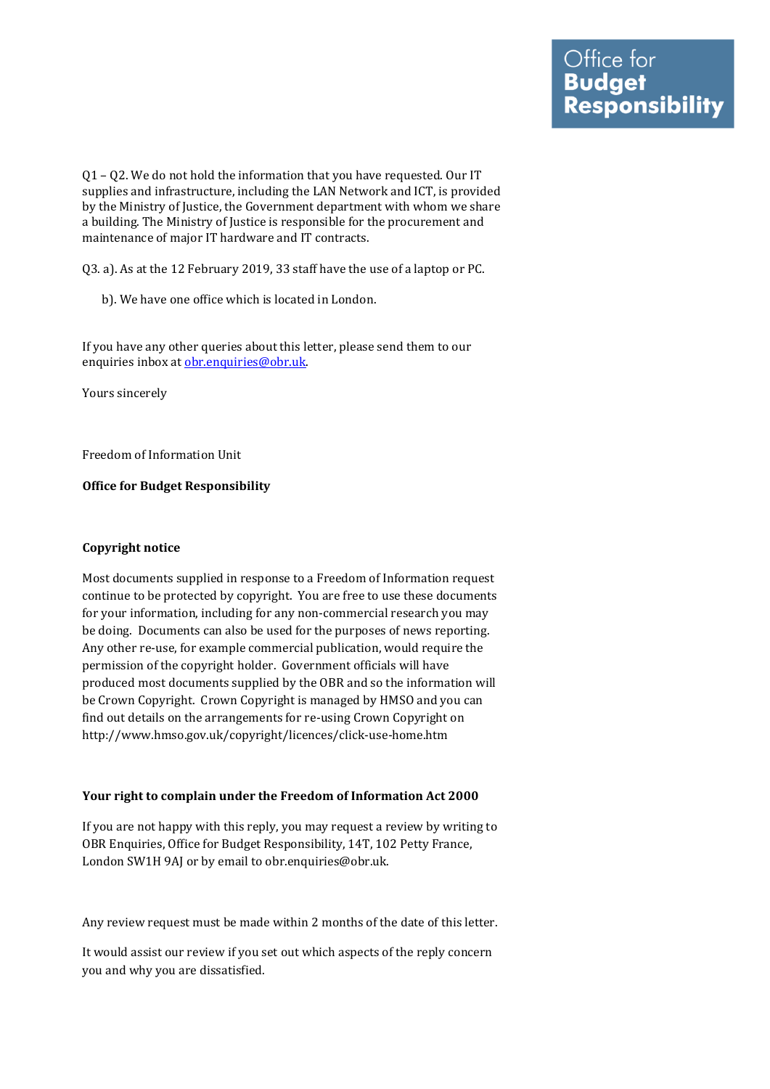Q1 – Q2. We do not hold the information that you have requested. Our IT supplies and infrastructure, including the LAN Network and ICT, is provided by the Ministry of Justice, the Government department with whom we share a building. The Ministry of Justice is responsible for the procurement and maintenance of major IT hardware and IT contracts.

Q3. a). As at the 12 February 2019, 33 staff have the use of a laptop or PC.

b). We have one office which is located in London.

 If you have any other queries about this letter, please send them to our enquiries inbox at obr.enquiries@obr.uk.

Yours sincerely

Freedom of Information Unit

 **Office for Budget Responsibility** 

# **Copyright notice**

 Most documents supplied in response to a Freedom of Information request continue to be protected by copyright. You are free to use these documents for your information, including for any non-commercial research you may be doing. Documents can also be used for the purposes of news reporting. Any other re-use, for example commercial publication, would require the permission of the copyright holder. Government officials will have produced most documents supplied by the OBR and so the information will be Crown Copyright. Crown Copyright is managed by HMSO and you can find out details on the arrangements for re-using Crown Copyright on <http://www.hmso.gov.uk/copyright/licences/click-use-home.htm>

## **Your right to complain under the Freedom of Information Act 2000**

 If you are not happy with this reply, you may request a review by writing to OBR Enquiries, Office for Budget Responsibility, 14T, 102 Petty France, London SW1H 9AJ or by email to [obr.enquiries@obr.uk](mailto:obr.enquiries@obr.uk).

Any review request must be made within 2 months of the date of this letter.

 It would assist our review if you set out which aspects of the reply concern you and why you are dissatisfied.